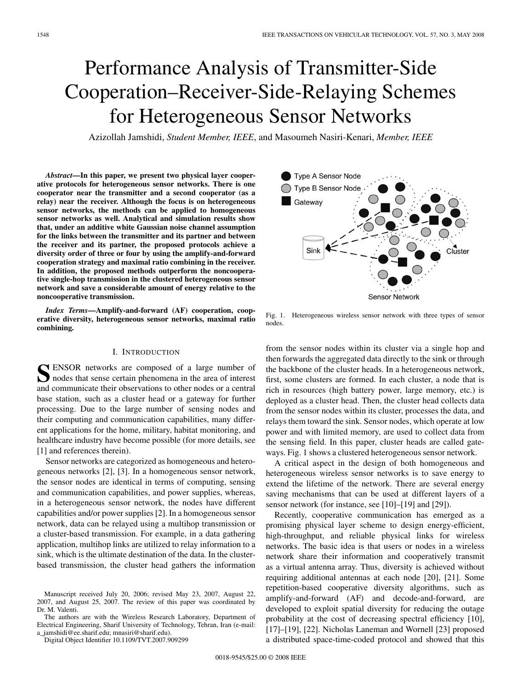# Performance Analysis of Transmitter-Side Cooperation–Receiver-Side-Relaying Schemes for Heterogeneous Sensor Networks

Azizollah Jamshidi, *Student Member, IEEE*, and Masoumeh Nasiri-Kenari, *Member, IEEE*

*Abstract***—In this paper, we present two physical layer cooperative protocols for heterogeneous sensor networks. There is one cooperator near the transmitter and a second cooperator (as a relay) near the receiver. Although the focus is on heterogeneous sensor networks, the methods can be applied to homogeneous sensor networks as well. Analytical and simulation results show that, under an additive white Gaussian noise channel assumption for the links between the transmitter and its partner and between the receiver and its partner, the proposed protocols achieve a diversity order of three or four by using the amplify-and-forward cooperation strategy and maximal ratio combining in the receiver. In addition, the proposed methods outperform the noncooperative single-hop transmission in the clustered heterogeneous sensor network and save a considerable amount of energy relative to the noncooperative transmission.**

*Index Terms***—Amplify-and-forward (AF) cooperation, cooperative diversity, heterogeneous sensor networks, maximal ratio combining.**

#### I. INTRODUCTION

**S** ENSOR networks are composed of a large number of nodes that sense certain phenomena in the area of interest and communicate their observations to other nodes or a central base station, such as a cluster head or a gateway for further processing. Due to the large number of sensing nodes and their computing and communication capabilities, many different applications for the home, military, habitat monitoring, and healthcare industry have become possible (for more details, see [1] and references therein).

Sensor networks are categorized as homogeneous and heterogeneous networks [2], [3]. In a homogeneous sensor network, the sensor nodes are identical in terms of computing, sensing and communication capabilities, and power supplies, whereas, in a heterogeneous sensor network, the nodes have different capabilities and/or power supplies [2]. In a homogeneous sensor network, data can be relayed using a multihop transmission or a cluster-based transmission. For example, in a data gathering application, multihop links are utilized to relay information to a sink, which is the ultimate destination of the data. In the clusterbased transmission, the cluster head gathers the information

The authors are with the Wireless Research Laboratory, Department of Electrical Engineering, Sharif University of Technology, Tehran, Iran (e-mail: a\_jamshidi@ee.sharif.edu; mnasiri@sharif.edu).

Digital Object Identifier 10.1109/TVT.2007.909299



Fig. 1. Heterogeneous wireless sensor network with three types of sensor nodes.

from the sensor nodes within its cluster via a single hop and then forwards the aggregated data directly to the sink or through the backbone of the cluster heads. In a heterogeneous network, first, some clusters are formed. In each cluster, a node that is rich in resources (high battery power, large memory, etc.) is deployed as a cluster head. Then, the cluster head collects data from the sensor nodes within its cluster, processes the data, and relays them toward the sink. Sensor nodes, which operate at low power and with limited memory, are used to collect data from the sensing field. In this paper, cluster heads are called gateways. Fig. 1 shows a clustered heterogeneous sensor network.

A critical aspect in the design of both homogeneous and heterogeneous wireless sensor networks is to save energy to extend the lifetime of the network. There are several energy saving mechanisms that can be used at different layers of a sensor network (for instance, see [10]–[19] and [29]).

Recently, cooperative communication has emerged as a promising physical layer scheme to design energy-efficient, high-throughput, and reliable physical links for wireless networks. The basic idea is that users or nodes in a wireless network share their information and cooperatively transmit as a virtual antenna array. Thus, diversity is achieved without requiring additional antennas at each node [20], [21]. Some repetition-based cooperative diversity algorithms, such as amplify-and-forward (AF) and decode-and-forward, are developed to exploit spatial diversity for reducing the outage probability at the cost of decreasing spectral efficiency [10], [17]–[19], [22]. Nicholas Laneman and Wornell [23] proposed a distributed space-time-coded protocol and showed that this

Manuscript received July 20, 2006; revised May 23, 2007, August 22, 2007, and August 25, 2007. The review of this paper was coordinated by Dr. M. Valenti.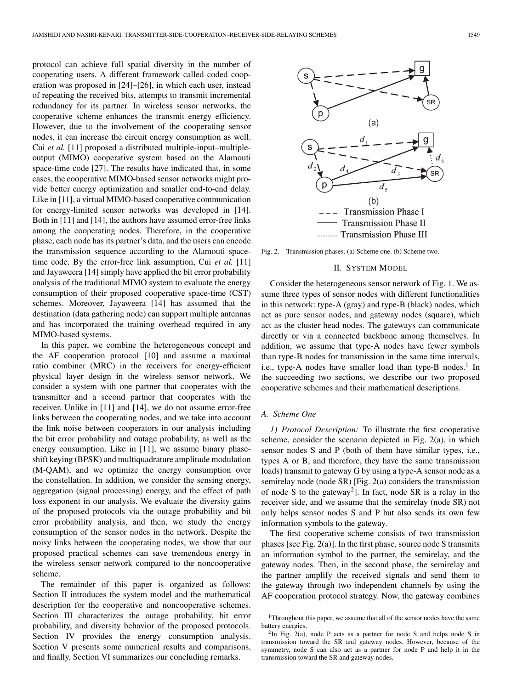protocol can achieve full spatial diversity in the number of cooperating users. A different framework called coded cooperation was proposed in [24]–[26], in which each user, instead of repeating the received bits, attempts to transmit incremental redundancy for its partner. In wireless sensor networks, the cooperative scheme enhances the transmit energy efficiency. However, due to the involvement of the cooperating sensor nodes, it can increase the circuit energy consumption as well. Cui *et al.* [11] proposed a distributed multiple-input–multipleoutput (MIMO) cooperative system based on the Alamouti space-time code [27]. The results have indicated that, in some cases, the cooperative MIMO-based sensor networks might provide better energy optimization and smaller end-to-end delay. Like in [11], a virtual MIMO-based cooperative communication for energy-limited sensor networks was developed in [14]. Both in [11] and [14], the authors have assumed error-free links among the cooperating nodes. Therefore, in the cooperative phase, each node has its partner's data, and the users can encode the transmission sequence according to the Alamouti spacetime code. By the error-free link assumption, Cui *et al.* [11] and Jayaweera [14] simply have applied the bit error probability analysis of the traditional MIMO system to evaluate the energy consumption of their proposed cooperative space-time (CST) schemes. Moreover, Jayaweera [14] has assumed that the destination (data gathering node) can support multiple antennas and has incorporated the training overhead required in any MIMO-based systems.

In this paper, we combine the heterogeneous concept and the AF cooperation protocol [10] and assume a maximal ratio combiner (MRC) in the receivers for energy-efficient physical layer design in the wireless sensor network. We consider a system with one partner that cooperates with the transmitter and a second partner that cooperates with the receiver. Unlike in [11] and [14], we do not assume error-free links between the cooperating nodes, and we take into account the link noise between cooperators in our analysis including the bit error probability and outage probability, as well as the energy consumption. Like in [11], we assume binary phaseshift keying (BPSK) and multiquadrature amplitude modulation (M-QAM), and we optimize the energy consumption over the constellation. In addition, we consider the sensing energy, aggregation (signal processing) energy, and the effect of path loss exponent in our analysis. We evaluate the diversity gains of the proposed protocols via the outage probability and bit error probability analysis, and then, we study the energy consumption of the sensor nodes in the network. Despite the noisy links between the cooperating nodes, we show that our proposed practical schemes can save tremendous energy in the wireless sensor network compared to the noncooperative scheme.

The remainder of this paper is organized as follows: Section II introduces the system model and the mathematical description for the cooperative and noncooperative schemes. Section III characterizes the outage probability, bit error probability, and diversity behavior of the proposed protocols. Section IV provides the energy consumption analysis. Section V presents some numerical results and comparisons, and finally, Section VI summarizes our concluding remarks.



Fig. 2. Transmission phases. (a) Scheme one. (b) Scheme two.

#### II. SYSTEM MODEL

Consider the heterogeneous sensor network of Fig. 1. We assume three types of sensor nodes with different functionalities in this network: type-A (gray) and type-B (black) nodes, which act as pure sensor nodes, and gateway nodes (square), which act as the cluster head nodes. The gateways can communicate directly or via a connected backbone among themselves. In addition, we assume that type-A nodes have fewer symbols than type-B nodes for transmission in the same time intervals, i.e., type-A nodes have smaller load than type-B nodes.<sup>1</sup> In the succeeding two sections, we describe our two proposed cooperative schemes and their mathematical descriptions.

# *A. Scheme One*

*1) Protocol Description:* To illustrate the first cooperative scheme, consider the scenario depicted in Fig. 2(a), in which sensor nodes S and P (both of them have similar types, i.e., types A or B, and therefore, they have the same transmission loads) transmit to gateway G by using a type-A sensor node as a semirelay node (node SR) [Fig. 2(a) considers the transmission of node S to the gateway<sup>2</sup>]. In fact, node SR is a relay in the receiver side, and we assume that the semirelay (node SR) not only helps sensor nodes S and P but also sends its own few information symbols to the gateway.

The first cooperative scheme consists of two transmission phases [see Fig. 2(a)]. In the first phase, source node S transmits an information symbol to the partner, the semirelay, and the gateway nodes. Then, in the second phase, the semirelay and the partner amplify the received signals and send them to the gateway through two independent channels by using the AF cooperation protocol strategy. Now, the gateway combines

<sup>&</sup>lt;sup>1</sup>Throughout this paper, we assume that all of the sensor nodes have the same battery energies.

 $2\text{In Fig. 2(a)}$ , node P acts as a partner for node S and helps node S in transmission toward the SR and gateway nodes. However, because of the symmetry, node S can also act as a partner for node P and help it in the transmission toward the SR and gateway nodes.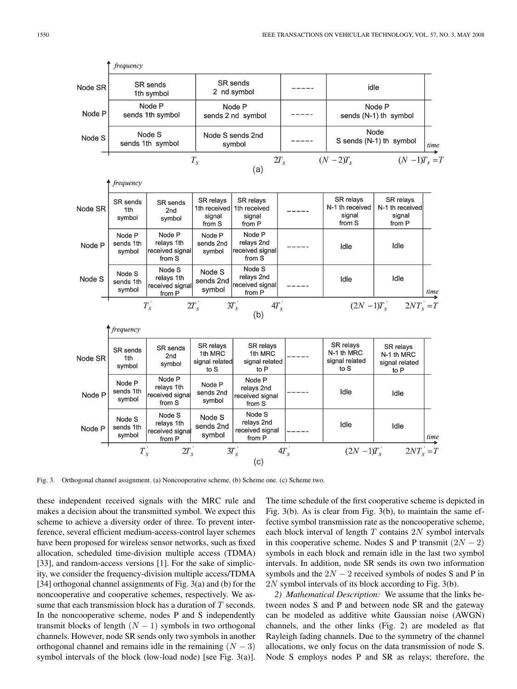

Fig. 3. Orthogonal channel assignment. (a) Noncooperative scheme. (b) Scheme one. (c) Scheme two.

these independent received signals with the MRC rule and makes a decision about the transmitted symbol. We expect this scheme to achieve a diversity order of three. To prevent interference, several efficient medium-access-control layer schemes have been proposed for wireless sensor networks, such as fixed allocation, scheduled time-division multiple access (TDMA) [33], and random-access versions [1]. For the sake of simplicity, we consider the frequency-division multiple access/TDMA [34] orthogonal channel assignments of Fig. 3(a) and (b) for the noncooperative and cooperative schemes, respectively. We assume that each transmission block has a duration of T seconds. In the noncooperative scheme, nodes P and S independently transmit blocks of length  $(N - 1)$  symbols in two orthogonal channels. However, node SR sends only two symbols in another orthogonal channel and remains idle in the remaining  $(N - 3)$ symbol intervals of the block (low-load node) [see Fig. 3(a)]. The time schedule of the first cooperative scheme is depicted in Fig. 3(b). As is clear from Fig. 3(b), to maintain the same effective symbol transmission rate as the noncooperative scheme, each block interval of length  $T$  contains  $2N$  symbol intervals in this cooperative scheme. Nodes S and P transmit  $(2N - 2)$ symbols in each block and remain idle in the last two symbol intervals. In addition, node SR sends its own two information symbols and the  $2N - 2$  received symbols of nodes S and P in 2N symbol intervals of its block according to Fig. 3(b).

*2) Mathematical Description:* We assume that the links between nodes S and P and between node SR and the gateway can be modeled as additive white Gaussian noise (AWGN) channels, and the other links (Fig. 2) are modeled as flat Rayleigh fading channels. Due to the symmetry of the channel allocations, we only focus on the data transmission of node S. Node S employs nodes P and SR as relays; therefore, the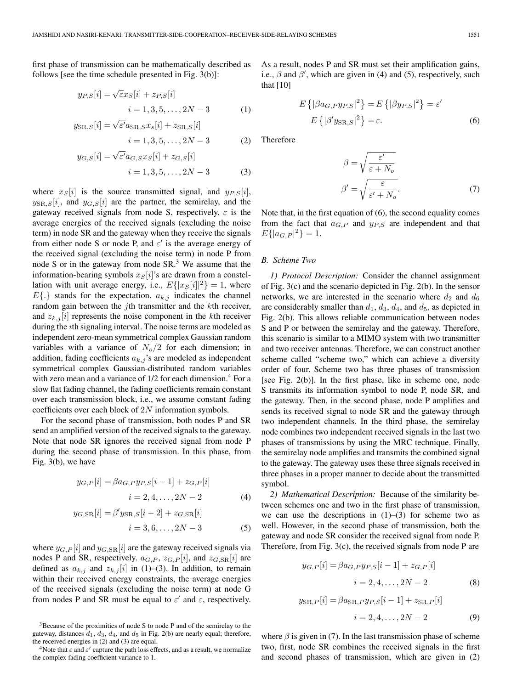first phase of transmission can be mathematically described as follows [see the time schedule presented in Fig. 3(b)]:

$$
y_{P,S}[i] = \sqrt{\varepsilon} x_S[i] + z_{P,S}[i] i = 1, 3, 5, ..., 2N - 3
$$
 (1)

$$
y_{\text{SR},S}[i] = \sqrt{\varepsilon'} a_{\text{SR},S} x_s[i] + z_{\text{SR},S}[i]
$$

 $i = 1, 3, 5, \ldots, 2N - 3$  (2)

$$
y_{G,S}[i] = \sqrt{\varepsilon'} a_{G,S} x_S[i] + z_{G,S}[i]
$$
  
  $i = 1, 3, 5, ..., 2N - 3$  (3)

where  $x_S[i]$  is the source transmitted signal, and  $y_{P,S}[i]$ ,  $y_{\text{SR},S}[i]$ , and  $y_{G,S}[i]$  are the partner, the semirelay, and the gateway received signals from node S, respectively.  $\varepsilon$  is the average energies of the received signals (excluding the noise term) in node SR and the gateway when they receive the signals from either node S or node P, and  $\varepsilon'$  is the average energy of the received signal (excluding the noise term) in node P from node S or in the gateway from node  $SR<sup>3</sup>$ . We assume that the information-bearing symbols  $x_{\rm S}[i]$ 's are drawn from a constellation with unit average energy, i.e.,  $E{ |x_S[i]|^2 } = 1$ , where  $E\{\cdot\}$  stands for the expectation.  $a_{k,j}$  indicates the channel random gain between the  $j$ th transmitter and the  $k$ th receiver, and  $z_{k,j}[i]$  represents the noise component in the kth receiver during the *i*th signaling interval. The noise terms are modeled as independent zero-mean symmetrical complex Gaussian random variables with a variance of  $N_o/2$  for each dimension; in addition, fading coefficients  $a_{k,j}$ 's are modeled as independent symmetrical complex Gaussian-distributed random variables with zero mean and a variance of  $1/2$  for each dimension.<sup>4</sup> For a slow flat fading channel, the fading coefficients remain constant over each transmission block, i.e., we assume constant fading coefficients over each block of 2N information symbols.

For the second phase of transmission, both nodes P and SR send an amplified version of the received signals to the gateway. Note that node SR ignores the received signal from node P during the second phase of transmission. In this phase, from Fig. 3(b), we have

$$
y_{G,P}[i] = \beta a_{G,P} y_{P,S}[i-1] + z_{G,P}[i]
$$

$$
i = 2, 4, ..., 2N - 2
$$
(4)

$$
y_{G,SR}[i] = \beta' y_{SR,S}[i-2] + z_{G,SR}[i]
$$
  

$$
i = 3, 6, ..., 2N - 3
$$
 (5)

where  $y_{G,P}[i]$  and  $y_{G,SR}[i]$  are the gateway received signals via nodes P and SR, respectively.  $a_{G,P}$ ,  $z_{G,P}[i]$ , and  $z_{G,SR}[i]$  are defined as  $a_{k,j}$  and  $z_{k,j}[i]$  in (1)–(3). In addition, to remain within their received energy constraints, the average energies of the received signals (excluding the noise term) at node G from nodes P and SR must be equal to  $\varepsilon'$  and  $\varepsilon$ , respectively.

As a result, nodes P and SR must set their amplification gains, i.e.,  $\beta$  and  $\beta'$ , which are given in (4) and (5), respectively, such that [10]

$$
E\left\{|\beta a_{G,P} y_{P,S}|^2\right\} = E\left\{|\beta y_{P,S}|^2\right\} = \varepsilon'
$$
  

$$
E\left\{|\beta' y_{\text{SR},S}|^2\right\} = \varepsilon.
$$
 (6)

Therefore

$$
\beta = \sqrt{\frac{\varepsilon'}{\varepsilon + N_o}}
$$

$$
\beta' = \sqrt{\frac{\varepsilon}{\varepsilon' + N_o}}.
$$
(7)

Note that, in the first equation of (6), the second equality comes from the fact that  $a_{G,P}$  and  $y_{P,S}$  are independent and that  $E\{|a_{G,P}|^2\}=1.$ 

## *B. Scheme Two*

*1) Protocol Description:* Consider the channel assignment of Fig. 3(c) and the scenario depicted in Fig. 2(b). In the sensor networks, we are interested in the scenario where  $d_2$  and  $d_6$ are considerably smaller than  $d_1$ ,  $d_3$ ,  $d_4$ , and  $d_5$ , as depicted in Fig. 2(b). This allows reliable communication between nodes S and P or between the semirelay and the gateway. Therefore, this scenario is similar to a MIMO system with two transmitter and two receiver antennas. Therefore, we can construct another scheme called "scheme two," which can achieve a diversity order of four. Scheme two has three phases of transmission [see Fig. 2(b)]. In the first phase, like in scheme one, node S transmits its information symbol to node P, node SR, and the gateway. Then, in the second phase, node P amplifies and sends its received signal to node SR and the gateway through two independent channels. In the third phase, the semirelay node combines two independent received signals in the last two phases of transmissions by using the MRC technique. Finally, the semirelay node amplifies and transmits the combined signal to the gateway. The gateway uses these three signals received in three phases in a proper manner to decide about the transmitted symbol.

*2) Mathematical Description:* Because of the similarity between schemes one and two in the first phase of transmission, we can use the descriptions in  $(1)$ – $(3)$  for scheme two as well. However, in the second phase of transmission, both the gateway and node SR consider the received signal from node P. Therefore, from Fig. 3(c), the received signals from node P are

$$
y_{G,P}[i] = \beta a_{G,P} y_{P,S}[i-1] + z_{G,P}[i]
$$

$$
i = 2, 4, ..., 2N - 2
$$
(8)

$$
y_{\text{SR},P}[i] = \beta a_{\text{SR},P} y_{P,S}[i-1] + z_{\text{SR},P}[i]
$$

$$
i = 2, 4, ..., 2N - 2
$$
(9)

where  $\beta$  is given in (7). In the last transmission phase of scheme two, first, node SR combines the received signals in the first and second phases of transmission, which are given in (2)

<sup>3</sup>Because of the proximities of node S to node P and of the semirelay to the gateway, distances  $d_1$ ,  $d_3$ ,  $d_4$ , and  $d_5$  in Fig. 2(b) are nearly equal; therefore, the received energies in (2) and (3) are equal.

<sup>&</sup>lt;sup>4</sup>Note that  $\varepsilon$  and  $\varepsilon'$  capture the path loss effects, and as a result, we normalize the complex fading coefficient variance to 1.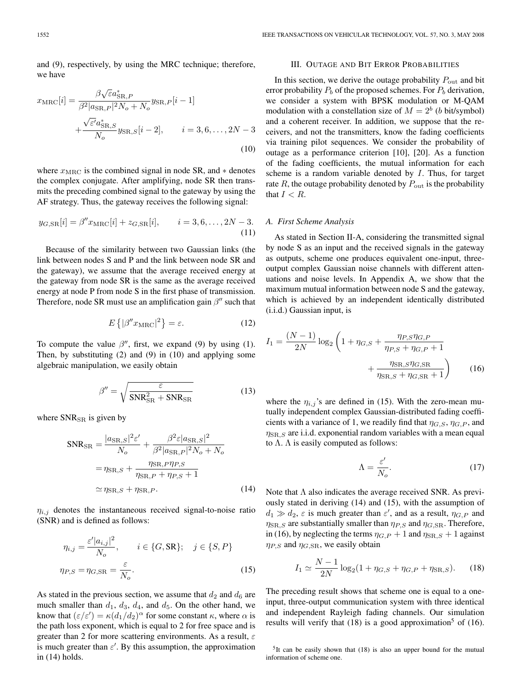and (9), respectively, by using the MRC technique; therefore, we have

$$
x_{\rm MRC}[i] = \frac{\beta \sqrt{\varepsilon} a_{\rm SR,P}^*}{\beta^2 |a_{\rm SR,P}|^2 N_o + N_o} y_{\rm SR,P}[i-1] + \frac{\sqrt{\varepsilon'} a_{\rm SR,S}^*}{N_o} y_{\rm SR,S}[i-2], \qquad i = 3, 6, ..., 2N - 3
$$
\n(10)

where  $x_{\text{MRC}}$  is the combined signal in node SR, and  $*$  denotes the complex conjugate. After amplifying, node SR then transmits the preceding combined signal to the gateway by using the AF strategy. Thus, the gateway receives the following signal:

$$
y_{G,SR}[i] = \beta'' x_{\text{MRC}}[i] + z_{G,SR}[i], \qquad i = 3, 6, ..., 2N - 3.
$$
\n(11)

Because of the similarity between two Gaussian links (the link between nodes S and P and the link between node SR and the gateway), we assume that the average received energy at the gateway from node SR is the same as the average received energy at node P from node S in the first phase of transmission. Therefore, node SR must use an amplification gain  $\beta''$  such that

$$
E\left\{ |\beta'' x_{\text{MRC}}|^2 \right\} = \varepsilon. \tag{12}
$$

To compute the value  $\beta''$ , first, we expand (9) by using (1). Then, by substituting (2) and (9) in (10) and applying some algebraic manipulation, we easily obtain

$$
\beta'' = \sqrt{\frac{\varepsilon}{\text{SNR}_{\text{SR}}^2 + \text{SNR}_{\text{SR}}}}
$$
(13)

where  $SNR_{SR}$  is given by

$$
SNR_{SR} = \frac{|a_{SR,S}|^2 \varepsilon'}{N_o} + \frac{\beta^2 \varepsilon |a_{SR,S}|^2}{\beta^2 |a_{SR,P}|^2 N_o + N_o}
$$

$$
= \eta_{SR,S} + \frac{\eta_{SR,P} \eta_{P,S}}{\eta_{SR,P} + \eta_{P,S} + 1}
$$

$$
\simeq \eta_{SR,S} + \eta_{SR,P}.
$$
(14)

 $\eta_{i,j}$  denotes the instantaneous received signal-to-noise ratio (SNR) and is defined as follows:

$$
\eta_{i,j} = \frac{\varepsilon' |a_{i,j}|^2}{N_o}, \qquad i \in \{G, \text{SR}\}; \quad j \in \{S, P\}
$$

$$
\eta_{P,S} = \eta_{G, \text{SR}} = \frac{\varepsilon}{N_o}.
$$
(15)

As stated in the previous section, we assume that  $d_2$  and  $d_6$  are much smaller than  $d_1$ ,  $d_3$ ,  $d_4$ , and  $d_5$ . On the other hand, we know that  $(\varepsilon/\varepsilon') = \kappa (d_1/d_2)^\alpha$  for some constant  $\kappa$ , where  $\alpha$  is the path loss exponent, which is equal to 2 for free space and is greater than 2 for more scattering environments. As a result,  $\varepsilon$ is much greater than  $\varepsilon'$ . By this assumption, the approximation in (14) holds.

## III. OUTAGE AND BIT ERROR PROBABILITIES

In this section, we derive the outage probability  $P_{\text{out}}$  and bit error probability  $P_b$  of the proposed schemes. For  $P_b$  derivation, we consider a system with BPSK modulation or M-QAM modulation with a constellation size of  $M = 2<sup>b</sup>$  (b bit/symbol) and a coherent receiver. In addition, we suppose that the receivers, and not the transmitters, know the fading coefficients via training pilot sequences. We consider the probability of outage as a performance criterion [10], [20]. As a function of the fading coefficients, the mutual information for each scheme is a random variable denoted by I. Thus, for target rate  $R$ , the outage probability denoted by  $P_{\text{out}}$  is the probability that  $I < R$ .

#### *A. First Scheme Analysis*

As stated in Section II-A, considering the transmitted signal by node S as an input and the received signals in the gateway as outputs, scheme one produces equivalent one-input, threeoutput complex Gaussian noise channels with different attenuations and noise levels. In Appendix A, we show that the maximum mutual information between node S and the gateway, which is achieved by an independent identically distributed (i.i.d.) Gaussian input, is

$$
I_1 = \frac{(N-1)}{2N} \log_2 \left( 1 + \eta_{G,S} + \frac{\eta_{P,S}\eta_{G,P}}{\eta_{P,S} + \eta_{G,P} + 1} + \frac{\eta_{\text{SR},S}\eta_{G,\text{SR}}}{\eta_{\text{SR},S} + \eta_{G,\text{SR}} + 1} \right)
$$
(16)

where the  $\eta_{i,j}$ 's are defined in (15). With the zero-mean mutually independent complex Gaussian-distributed fading coefficients with a variance of 1, we readily find that  $\eta_{G,S}$ ,  $\eta_{G,P}$ , and  $\eta_{\text{SR},S}$  are i.i.d. exponential random variables with a mean equal to  $\Lambda$ .  $\Lambda$  is easily computed as follows:

$$
\Lambda = \frac{\varepsilon'}{N_o}.\tag{17}
$$

Note that  $\Lambda$  also indicates the average received SNR. As previously stated in deriving (14) and (15), with the assumption of  $d_1 \gg d_2$ ,  $\varepsilon$  is much greater than  $\varepsilon'$ , and as a result,  $\eta_{G,P}$  and  $\eta_{\text{SR},S}$  are substantially smaller than  $\eta_{P,S}$  and  $\eta_{G,SR}$ . Therefore, in (16), by neglecting the terms  $\eta_{G,P} + 1$  and  $\eta_{\text{SR},S} + 1$  against  $\eta_{P,S}$  and  $\eta_{G,SR}$ , we easily obtain

$$
I_1 \simeq \frac{N-1}{2N} \log_2(1 + \eta_{G,S} + \eta_{G,P} + \eta_{\text{SR},S}).
$$
 (18)

The preceding result shows that scheme one is equal to a oneinput, three-output communication system with three identical and independent Rayleigh fading channels. Our simulation results will verify that  $(18)$  is a good approximation<sup>5</sup> of  $(16)$ .

 $5$ It can be easily shown that (18) is also an upper bound for the mutual information of scheme one.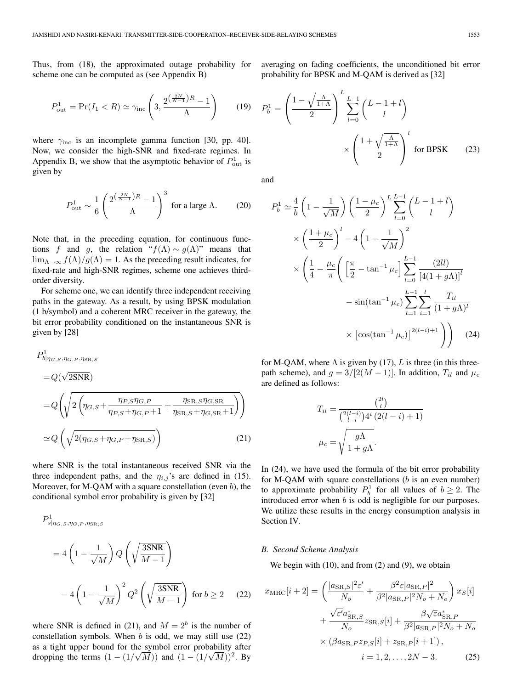Thus, from (18), the approximated outage probability for scheme one can be computed as (see Appendix B)

$$
P_{\text{out}}^1 = \Pr(I_1 < R) \simeq \gamma_{\text{inc}} \left( 3, \frac{2^{\left(\frac{2N}{N-1}\right)R} - 1}{\Lambda} \right) \tag{19}
$$

where  $\gamma_{\text{inc}}$  is an incomplete gamma function [30, pp. 40]. Now, we consider the high-SNR and fixed-rate regimes. In Appendix B, we show that the asymptotic behavior of  $P_{\text{out}}^1$  is given by

$$
P_{\text{out}}^1 \sim \frac{1}{6} \left( \frac{2^{\left(\frac{2N}{N-1}\right)R} - 1}{\Lambda} \right)^3 \text{ for a large } \Lambda. \tag{20}
$$

Note that, in the preceding equation, for continuous functions f and g, the relation " $f(\Lambda) \sim g(\Lambda)$ " means that  $\lim_{\Lambda \to \infty} f(\Lambda)/g(\Lambda) = 1$ . As the preceding result indicates, for fixed-rate and high-SNR regimes, scheme one achieves thirdorder diversity.

For scheme one, we can identify three independent receiving paths in the gateway. As a result, by using BPSK modulation (1 b/symbol) and a coherent MRC receiver in the gateway, the bit error probability conditioned on the instantaneous SNR is given by [28]

$$
P_{b|\eta_{G,S},\eta_{G,P},\eta_{SR,S}}^{1}
$$
\n
$$
= Q(\sqrt{2SNR})
$$
\n
$$
= Q\left(\sqrt{2\left(\eta_{G,S} + \frac{\eta_{P,S}\eta_{G,P}}{\eta_{P,S} + \eta_{G,P} + 1} + \frac{\eta_{SR,S}\eta_{G,SR}}{\eta_{SR,S} + \eta_{G,SR} + 1}\right)}\right)
$$
\n
$$
\simeq Q\left(\sqrt{2(\eta_{G,S} + \eta_{G,P} + \eta_{SR,S})}\right)
$$
\n(21)

where SNR is the total instantaneous received SNR via the three independent paths, and the  $\eta_{i,j}$ 's are defined in (15). Moreover, for M-QAM with a square constellation (even  $b$ ), the conditional symbol error probability is given by [32]

$$
P_{s|\eta_{G,S},\eta_{G,P},\eta_{SR,S}}^{1}
$$
  
=  $4\left(1 - \frac{1}{\sqrt{M}}\right)Q\left(\sqrt{\frac{3SNR}{M-1}}\right)$   
 $-4\left(1 - \frac{1}{\sqrt{M}}\right)^{2}Q^{2}\left(\sqrt{\frac{3SNR}{M-1}}\right)$  for  $b \ge 2$  (22)

where SNR is defined in (21), and  $M = 2<sup>b</sup>$  is the number of constellation symbols. When  $b$  is odd, we may still use  $(22)$ as a tight upper bound for the symbol error probability after dropping the terms  $(1 - (1/\sqrt{M}))$  and  $(1 - (1/\sqrt{M}))^2$ . By

averaging on fading coefficients, the unconditioned bit error probability for BPSK and M-QAM is derived as [32]

$$
P_b^1 = \left(\frac{1 - \sqrt{\frac{\Lambda}{1+\Lambda}}}{2}\right)^L \sum_{l=0}^{L-1} \binom{L-1+l}{l} \times \left(\frac{1 + \sqrt{\frac{\Lambda}{1+\Lambda}}}{2}\right)^l \text{ for BPSK} \qquad (23)
$$

and

$$
P_b^1 \simeq \frac{4}{b} \left( 1 - \frac{1}{\sqrt{M}} \right) \left( \frac{1 - \mu_c}{2} \right)^L \sum_{l=0}^{L-1} {L-1+l \choose l}
$$
  
 
$$
\times \left( \frac{1 + \mu_c}{2} \right)^l - 4 \left( 1 - \frac{1}{\sqrt{M}} \right)^2
$$
  
 
$$
\times \left( \frac{1}{4} - \frac{\mu_c}{\pi} \left( \left[ \frac{\pi}{2} - \tan^{-1} \mu_c \right] \sum_{l=0}^{L-1} \frac{(2ll)}{[4(1 + g\Lambda)]^l} -\sin(\tan^{-1} \mu_c) \sum_{l=1}^{L-1} \sum_{i=1}^l \frac{T_{il}}{(1 + g\Lambda)^l} + \sum_{l=0}^{L} \left[ \cos(\tan^{-1} \mu_c) \right]^{2(l-i)+1} \right) \right) (24)
$$

for M-QAM, where  $\Lambda$  is given by (17), L is three (in this threepath scheme), and  $g = 3/[2(M-1)]$ . In addition,  $T_{il}$  and  $\mu_c$ are defined as follows:

$$
T_{il} = \frac{\binom{2l}{l}}{\binom{2(l-i)}{l-i}4^i \left(2(l-i)+1\right)}
$$

$$
\mu_c = \sqrt{\frac{g\Lambda}{1+g\Lambda}}.
$$

In (24), we have used the formula of the bit error probability for M-QAM with square constellations  $(b \text{ is an even number})$ to approximate probability  $P_b^1$  for all values of  $b \ge 2$ . The introduced error when b is odd is negligible for our purposes. We utilize these results in the energy consumption analysis in Section IV.

#### *B. Second Scheme Analysis*

We begin with  $(10)$ , and from  $(2)$  and  $(9)$ , we obtain

$$
x_{\text{MRC}}[i+2] = \left(\frac{|a_{\text{SR},S}|^2 \varepsilon'}{N_o} + \frac{\beta^2 \varepsilon |a_{\text{SR},P}|^2}{\beta^2 |a_{\text{SR},P}|^2 N_o + N_o}\right) x_S[i] + \frac{\sqrt{\varepsilon'} a_{\text{SR},S}^*}{N_o} z_{\text{SR},S}[i] + \frac{\beta \sqrt{\varepsilon} a_{\text{SR},P}^*}{\beta^2 |a_{\text{SR},P}|^2 N_o + N_o} \times (\beta a_{\text{SR},P} z_{P,S}[i] + z_{\text{SR},P}[i+1]),
$$
  
\n $i = 1, 2, ..., 2N - 3.$  (25)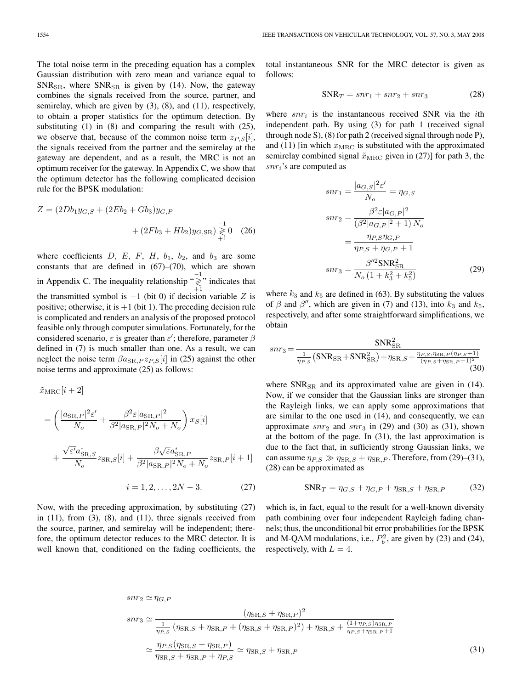The total noise term in the preceding equation has a complex Gaussian distribution with zero mean and variance equal to  $SNR_{SR}$ , where  $SNR_{SR}$  is given by (14). Now, the gateway combines the signals received from the source, partner, and semirelay, which are given by (3), (8), and (11), respectively, to obtain a proper statistics for the optimum detection. By substituting (1) in (8) and comparing the result with (25), we observe that, because of the common noise term  $z_{P,S}[i]$ , the signals received from the partner and the semirelay at the gateway are dependent, and as a result, the MRC is not an optimum receiver for the gateway. In Appendix C, we show that the optimum detector has the following complicated decision rule for the BPSK modulation:

$$
Z = (2Db_1y_{G,S} + (2Eb_2 + Gb_3)y_{G,P}
$$

$$
+ (2Fb_3 + Hb_2)y_{G,SR}) \ge 0
$$
 (26)

where coefficients D, E, F, H,  $b_1$ ,  $b_2$ , and  $b_3$  are some constants that are defined in (67)–(70), which are shown in Appendix C. The inequality relationship " $\gtrless$ " indicates that the transmitted symbol is  $-1$  (bit 0) if decision variable Z is positive; otherwise, it is  $+1$  (bit 1). The preceding decision rule is complicated and renders an analysis of the proposed protocol feasible only through computer simulations. Fortunately, for the considered scenario,  $\varepsilon$  is greater than  $\varepsilon'$ ; therefore, parameter  $\beta$ defined in (7) is much smaller than one. As a result, we can neglect the noise term  $\beta a_{\text{SR},P} z_{P,S}[i]$  in (25) against the other noise terms and approximate (25) as follows:

$$
\tilde{x}_{\text{MRC}}[i+2] \n= \left( \frac{|a_{\text{SR},P}|^2 \varepsilon'}{N_o} + \frac{\beta^2 \varepsilon |a_{\text{SR},P}|^2}{\beta^2 |a_{\text{SR},P}|^2 N_o + N_o} \right) x_S[i] \n+ \frac{\sqrt{\varepsilon'} a_{\text{SR},S}^*}{N_o} z_{\text{SR},S}[i] + \frac{\beta \sqrt{\varepsilon} a_{\text{SR},P}^*}{\beta^2 |a_{\text{SR},P}|^2 N_o + N_o} z_{\text{SR},P}[i+1] \n i = 1, 2, ..., 2N - 3.
$$
\n(27)

Now, with the preceding approximation, by substituting (27) in  $(11)$ , from  $(3)$ ,  $(8)$ , and  $(11)$ , three signals received from the source, partner, and semirelay will be independent; therefore, the optimum detector reduces to the MRC detector. It is well known that, conditioned on the fading coefficients, the total instantaneous SNR for the MRC detector is given as follows:

$$
SNR_T = snr_1 + snr_2 + snr_3 \tag{28}
$$

where  $snr_i$  is the instantaneous received SNR via the *i*th independent path. By using (3) for path 1 (received signal through node S), (8) for path 2 (received signal through node P), and (11) [in which  $x_{\text{MRC}}$  is substituted with the approximated semirelay combined signal  $\tilde{x}_{\text{MRC}}$  given in (27)] for path 3, the  $snr<sub>i</sub>$ 's are computed as

$$
snr_1 = \frac{|a_{G,S}|^2 \varepsilon'}{N_o} = \eta_{G,S}
$$

$$
snr_2 = \frac{\beta^2 \varepsilon |a_{G,P}|^2}{(\beta^2 |a_{G,P}|^2 + 1) N_o}
$$

$$
= \frac{\eta_{P,S}\eta_{G,P}}{\eta_{P,S} + \eta_{G,P} + 1}
$$

$$
snr_3 = \frac{\beta''^2 \text{SNR}_{\text{SR}}^2}{N_o \left(1 + k_3^2 + k_5^2\right)}
$$
(29)

where  $k_3$  and  $k_5$  are defined in (63). By substituting the values of  $\beta$  and  $\beta''$ , which are given in (7) and (13), into  $k_3$  and  $k_5$ , respectively, and after some straightforward simplifications, we obtain

$$
snr_3 = \frac{SNR_{SR}^2}{\frac{1}{\eta_{P,S}} \left( SNR_{SR} + SNR_{SR}^2 \right) + \eta_{SR,S} + \frac{\eta_{P,S}, \eta_{SR,P}(\eta_{P,S}+1)}{(\eta_{P,S} + \eta_{SR,P} + 1)^2}}
$$
(30)

where  $SNR_{SR}$  and its approximated value are given in (14). Now, if we consider that the Gaussian links are stronger than the Rayleigh links, we can apply some approximations that are similar to the one used in (14), and consequently, we can approximate  $snr_2$  and  $snr_3$  in (29) and (30) as (31), shown at the bottom of the page. In (31), the last approximation is due to the fact that, in sufficiently strong Gaussian links, we can assume  $\eta_{P,S} \gg \eta_{\text{SR},S} + \eta_{\text{SR},P}$ . Therefore, from (29)–(31), (28) can be approximated as

$$
SNR_T = \eta_{G,S} + \eta_{G,P} + \eta_{SR,S} + \eta_{SR,P}
$$
 (32)

which is, in fact, equal to the result for a well-known diversity path combining over four independent Rayleigh fading channels; thus, the unconditional bit error probabilities for the BPSK and M-QAM modulations, i.e.,  $P_b^2$ , are given by (23) and (24), respectively, with  $L = 4$ .

$$
snr_2 \simeq \eta_{G,P}
$$
\n
$$
snr_3 \simeq \frac{(\eta_{\text{SR},S} + \eta_{\text{SR},P})^2}{\frac{1}{\eta_{P,S}} (\eta_{\text{SR},S} + \eta_{\text{SR},P} + (\eta_{\text{SR},S} + \eta_{\text{SR},P})^2) + \eta_{\text{SR},S} + \frac{(1 + \eta_{P,S})\eta_{\text{SR},P}}{\eta_{P,S} + \eta_{\text{SR},P} + 1}}
$$
\n
$$
\simeq \frac{\eta_{P,S}(\eta_{\text{SR},S} + \eta_{\text{SR},P})}{\eta_{\text{SR},S} + \eta_{\text{SR},P} + \eta_{P,S}} \simeq \eta_{\text{SR},S} + \eta_{\text{SR},P}
$$
\n(31)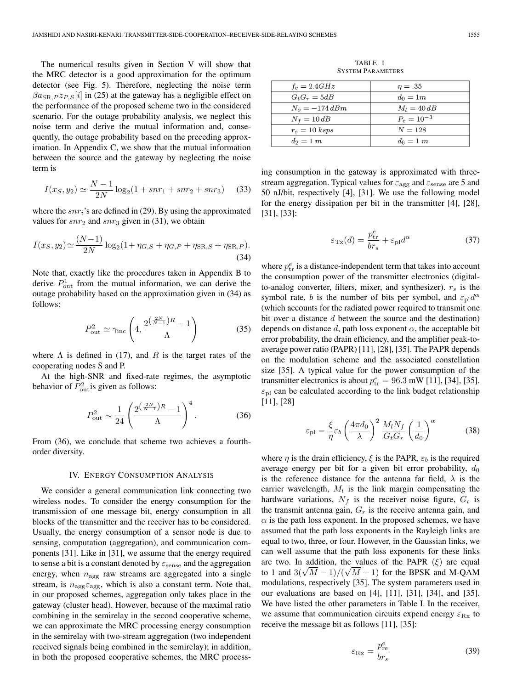The numerical results given in Section V will show that the MRC detector is a good approximation for the optimum detector (see Fig. 5). Therefore, neglecting the noise term  $\beta a_{\rm SR,P} z_{P,S}[i]$  in (25) at the gateway has a negligible effect on the performance of the proposed scheme two in the considered scenario. For the outage probability analysis, we neglect this noise term and derive the mutual information and, consequently, the outage probability based on the preceding approximation. In Appendix C, we show that the mutual information between the source and the gateway by neglecting the noise term is

$$
I(x_S, y_2) \simeq \frac{N-1}{2N} \log_2(1 + snr_1 + snr_2 + snr_3) \tag{33}
$$

where the  $snr_i$ 's are defined in (29). By using the approximated values for  $snr_2$  and  $snr_3$  given in (31), we obtain

$$
I(x_S, y_2) \simeq \frac{(N-1)}{2N} \log_2(1 + \eta_{G,S} + \eta_{G,P} + \eta_{\text{SR},S} + \eta_{\text{SR},P}).
$$
\n(34)

Note that, exactly like the procedures taken in Appendix B to derive  $P_{\text{out}}^1$  from the mutual information, we can derive the outage probability based on the approximation given in (34) as follows:

$$
P_{\text{out}}^2 \simeq \gamma_{\text{inc}} \left( 4, \frac{2^{\left(\frac{2N}{N-1}\right)R} - 1}{\Lambda} \right) \tag{35}
$$

where  $\Lambda$  is defined in (17), and R is the target rates of the cooperating nodes S and P.

At the high-SNR and fixed-rate regimes, the asymptotic behavior of  $P_{\text{out}}^2$  is given as follows:

$$
P_{\text{out}}^2 \sim \frac{1}{24} \left( \frac{2^{\left(\frac{2N}{N-1}\right)R} - 1}{\Lambda} \right)^4.
$$
 (36)

From (36), we conclude that scheme two achieves a fourthorder diversity.

#### IV. ENERGY CONSUMPTION ANALYSIS

We consider a general communication link connecting two wireless nodes. To consider the energy consumption for the transmission of one message bit, energy consumption in all blocks of the transmitter and the receiver has to be considered. Usually, the energy consumption of a sensor node is due to sensing, computation (aggregation), and communication components [31]. Like in [31], we assume that the energy required to sense a bit is a constant denoted by  $\varepsilon_{\rm sense}$  and the aggregation energy, when  $n_{\text{agg}}$  raw streams are aggregated into a single stream, is  $n_{\text{agg}}\varepsilon_{\text{agg}}$ , which is also a constant term. Note that, in our proposed schemes, aggregation only takes place in the gateway (cluster head). However, because of the maximal ratio combining in the semirelay in the second cooperative scheme, we can approximate the MRC processing energy consumption in the semirelay with two-stream aggregation (two independent received signals being combined in the semirelay); in addition, in both the proposed cooperative schemes, the MRC process-

TABLE I SYSTEM PARAMETERS

| $f_c = 2.4GHz$   | $\eta=.35$      |
|------------------|-----------------|
| $G_tG_r = 5dB$   | $d_0=1m$        |
| $N_o = -174 dBm$ | $M_I = 40$ dB   |
| $N_f = 10 dB$    | $P_e = 10^{-3}$ |
| $r_s = 10$ ksps  | $N = 128$       |
| $d_2=1 m$        | $d_6 = 1 \; m$  |

ing consumption in the gateway is approximated with threestream aggregation. Typical values for  $\varepsilon_{\text{agg}}$  and  $\varepsilon_{\text{sense}}$  are 5 and 50 nJ/bit, respectively [4], [31]. We use the following model for the energy dissipation per bit in the transmitter [4], [28], [31], [33]:

$$
\varepsilon_{\text{Tx}}(d) = \frac{p_{\text{tr}}^e}{br_s} + \varepsilon_{\text{pl}} d^{\alpha} \tag{37}
$$

where  $p_{\text{tr}}^e$  is a distance-independent term that takes into account the consumption power of the transmitter electronics (digitalto-analog converter, filters, mixer, and synthesizer).  $r_s$  is the symbol rate, b is the number of bits per symbol, and  $\varepsilon_{\text{pl}}d^{\alpha}$ (which accounts for the radiated power required to transmit one bit over a distance d between the source and the destination) depends on distance  $d$ , path loss exponent  $\alpha$ , the acceptable bit error probability, the drain efficiency, and the amplifier peak-toaverage power ratio (PAPR) [11], [28], [35]. The PAPR depends on the modulation scheme and the associated constellation size [35]. A typical value for the power consumption of the transmitter electronics is about  $p_{\text{tr}}^e = 96.3 \text{ mW}$  [11], [34], [35].  $\varepsilon_{\text{pl}}$  can be calculated according to the link budget relationship [11], [28]

$$
\varepsilon_{\rm pl} = \frac{\xi}{\eta} \varepsilon_b \left( \frac{4\pi d_0}{\lambda} \right)^2 \frac{M_l N_f}{G_t G_r} \left( \frac{1}{d_0} \right)^{\alpha} \tag{38}
$$

where  $\eta$  is the drain efficiency,  $\xi$  is the PAPR,  $\varepsilon_b$  is the required average energy per bit for a given bit error probability,  $d_0$ is the reference distance for the antenna far field,  $\lambda$  is the carrier wavelength,  $M_l$  is the link margin compensating the hardware variations,  $N_f$  is the receiver noise figure,  $G_t$  is the transmit antenna gain,  $G_r$  is the receive antenna gain, and  $\alpha$  is the path loss exponent. In the proposed schemes, we have assumed that the path loss exponents in the Rayleigh links are equal to two, three, or four. However, in the Gaussian links, we can well assume that the path loss exponents for these links are two. In addition, the values of the PAPR  $(\xi)$  are equal are two. In addition, the values of the PAPK  $(\xi)$  are equal to 1 and  $3(\sqrt{M}-1)/(\sqrt{M}+1)$  for the BPSK and M-QAM modulations, respectively [35]. The system parameters used in our evaluations are based on [4], [11], [31], [34], and [35]. We have listed the other parameters in Table I. In the receiver, we assume that communication circuits expend energy  $\varepsilon_{\text{Rx}}$  to receive the message bit as follows [11], [35]:

$$
\varepsilon_{\text{Rx}} = \frac{p_{\text{re}}^e}{br_s} \tag{39}
$$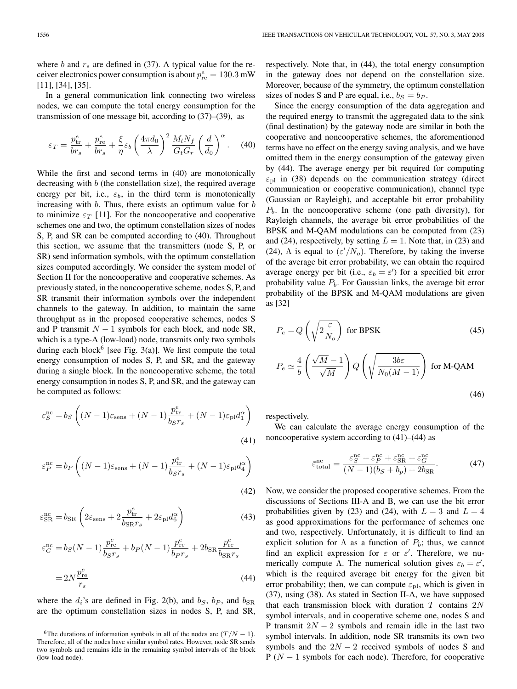In a general communication link connecting two wireless nodes, we can compute the total energy consumption for the transmission of one message bit, according to (37)–(39), as

$$
\varepsilon_T = \frac{p_{\rm tr}^e}{br_s} + \frac{p_{\rm re}^e}{br_s} + \frac{\xi}{\eta} \varepsilon_b \left(\frac{4\pi d_0}{\lambda}\right)^2 \frac{M_l N_f}{G_t G_r} \left(\frac{d}{d_0}\right)^{\alpha}.
$$
 (40)

While the first and second terms in (40) are monotonically decreasing with b (the constellation size), the required average energy per bit, i.e.,  $\varepsilon_b$ , in the third term is monotonically increasing with  $b$ . Thus, there exists an optimum value for  $b$ to minimize  $\varepsilon_T$  [11]. For the noncooperative and cooperative schemes one and two, the optimum constellation sizes of nodes S, P, and SR can be computed according to (40). Throughout this section, we assume that the transmitters (node S, P, or SR) send information symbols, with the optimum constellation sizes computed accordingly. We consider the system model of Section II for the noncooperative and cooperative schemes. As previously stated, in the noncooperative scheme, nodes S, P, and SR transmit their information symbols over the independent channels to the gateway. In addition, to maintain the same throughput as in the proposed cooperative schemes, nodes S and P transmit  $N - 1$  symbols for each block, and node SR, which is a type-A (low-load) node, transmits only two symbols during each block<sup>6</sup> [see Fig. 3(a)]. We first compute the total energy consumption of nodes S, P, and SR, and the gateway during a single block. In the noncooperative scheme, the total energy consumption in nodes S, P, and SR, and the gateway can be computed as follows:

$$
\varepsilon_S^{\rm nc} = b_S \left( (N-1)\varepsilon_{\rm sens} + (N-1)\frac{p_{\rm tr}^e}{b_S r_s} + (N-1)\varepsilon_{\rm pl} d_1^{\alpha} \right)
$$
\n(41)

$$
\varepsilon_P^{\text{nc}} = b_P \left( (N-1)\varepsilon_{\text{sens}} + (N-1)\frac{p_{\text{tr}}^e}{b_S r_s} + (N-1)\varepsilon_{\text{pl}} d_4^\alpha \right)
$$
\n(42)

$$
\varepsilon_{\rm SR}^{\rm nc} = b_{\rm SR} \left( 2\varepsilon_{\rm sens} + 2 \frac{p_{\rm tr}^e}{b_{\rm SR} r_s} + 2\varepsilon_{\rm pl} d_6^{\alpha} \right) \tag{43}
$$

$$
\varepsilon_G^{\text{nc}} = b_S(N-1)\frac{p_{\text{re}}^e}{b_S r_s} + b_P(N-1)\frac{p_{\text{re}}^e}{b_P r_s} + 2b_{\text{SR}}\frac{p_{\text{re}}^e}{b_{\text{SR}} r_s}
$$
  
= 
$$
2N\frac{p_{\text{re}}^e}{r_s}
$$
 (44)

where the  $d_i$ 's are defined in Fig. 2(b), and  $b_S$ ,  $b_P$ , and  $b_{SR}$ are the optimum constellation sizes in nodes S, P, and SR, respectively. Note that, in (44), the total energy consumption in the gateway does not depend on the constellation size. Moreover, because of the symmetry, the optimum constellation sizes of nodes S and P are equal, i.e.,  $b_S = b_P$ .

Since the energy consumption of the data aggregation and the required energy to transmit the aggregated data to the sink (final destination) by the gateway node are similar in both the cooperative and noncooperative schemes, the aforementioned terms have no effect on the energy saving analysis, and we have omitted them in the energy consumption of the gateway given by (44). The average energy per bit required for computing  $\varepsilon_{\text{pl}}$  in (38) depends on the communication strategy (direct communication or cooperative communication), channel type (Gaussian or Rayleigh), and acceptable bit error probability  $P<sub>b</sub>$ . In the noncooperative scheme (one path diversity), for Rayleigh channels, the average bit error probabilities of the BPSK and M-QAM modulations can be computed from (23) and (24), respectively, by setting  $L = 1$ . Note that, in (23) and (24),  $\Lambda$  is equal to  $(\varepsilon'/N_o)$ . Therefore, by taking the inverse of the average bit error probability, we can obtain the required average energy per bit (i.e.,  $\varepsilon_b = \varepsilon'$ ) for a specified bit error probability value  $P<sub>b</sub>$ . For Gaussian links, the average bit error probability of the BPSK and M-QAM modulations are given as [32]

$$
P_e = Q\left(\sqrt{2\frac{\varepsilon}{N_o}}\right) \text{ for BPSK} \tag{45}
$$
\n
$$
P_e \simeq \frac{4}{b} \left(\frac{\sqrt{M} - 1}{\sqrt{M}}\right) Q\left(\sqrt{\frac{3b\varepsilon}{N_0(M - 1)}}\right) \text{ for M-QAM}
$$
\n
$$
\tag{46}
$$

respectively.

We can calculate the average energy consumption of the noncooperative system according to  $(41)$ – $(44)$  as

$$
\bar{\varepsilon}_{\text{total}}^{\text{nc}} = \frac{\varepsilon_S^{\text{nc}} + \varepsilon_P^{\text{nc}} + \varepsilon_{\text{SR}}^{\text{nc}} + \varepsilon_G^{\text{nc}}}{(N-1)(b_S + b_p) + 2b_{\text{SR}}}.\tag{47}
$$

Now, we consider the proposed cooperative schemes. From the discussions of Sections III-A and B, we can use the bit error probabilities given by (23) and (24), with  $L = 3$  and  $L = 4$ as good approximations for the performance of schemes one and two, respectively. Unfortunately, it is difficult to find an explicit solution for  $\Lambda$  as a function of  $P_b$ ; thus, we cannot find an explicit expression for  $\varepsilon$  or  $\varepsilon'$ . Therefore, we numerically compute  $\Lambda$ . The numerical solution gives  $\varepsilon_b = \varepsilon'$ , which is the required average bit energy for the given bit error probability; then, we can compute  $\varepsilon_{\text{pl}}$ , which is given in (37), using (38). As stated in Section II-A, we have supposed that each transmission block with duration  $T$  contains  $2N$ symbol intervals, and in cooperative scheme one, nodes S and P transmit  $2N - 2$  symbols and remain idle in the last two symbol intervals. In addition, node SR transmits its own two symbols and the  $2N - 2$  received symbols of nodes S and  $P(N - 1)$  symbols for each node). Therefore, for cooperative

<sup>&</sup>lt;sup>6</sup>The durations of information symbols in all of the nodes are  $(T/N - 1)$ . Therefore, all of the nodes have similar symbol rates. However, node SR sends two symbols and remains idle in the remaining symbol intervals of the block (low-load node).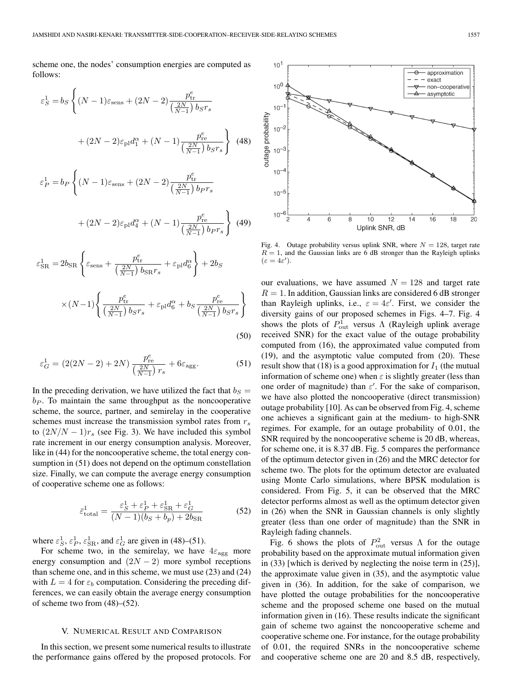scheme one, the nodes' consumption energies are computed as follows:

$$
\varepsilon_{S}^{1} = b_{S} \left\{ (N-1)\varepsilon_{\text{sens}} + (2N-2) \frac{p_{\text{tr}}^{e}}{\left(\frac{2N}{N-1}\right) b_{S} r_{s}} + (2N-2)\varepsilon_{\text{pl}} d_{1}^{\alpha} + (N-1) \frac{p_{\text{re}}^{e}}{\left(\frac{2N}{N-1}\right) b_{S} r_{s}} \right\}
$$
(48)  

$$
\varepsilon_{P}^{1} = b_{P} \left\{ (N-1)\varepsilon_{\text{sens}} + (2N-2) \frac{p_{\text{tr}}^{e}}{\left(\frac{2N}{N-1}\right) b_{P} r_{s}} + (2N-2)\varepsilon_{\text{pl}} d_{4}^{\alpha} + (N-1) \frac{p_{\text{re}}^{e}}{\left(\frac{2N}{N-1}\right) b_{P} r_{s}} \right\}
$$
(49)

$$
\varepsilon_{\rm SR}^1 = 2b_{\rm SR} \left\{ \varepsilon_{\rm sens} + \frac{p_{\rm tr}^e}{\left(\frac{2N}{N-1}\right)b_{\rm SR}r_s} + \varepsilon_{\rm pl}d_6^\alpha \right\} + 2b_S
$$
  
 
$$
\times (N-1) \left\{ \frac{p_{\rm tr}^e}{\left(\frac{2N}{N-1}\right)b_{\rm S}r_s} + \varepsilon_{\rm pl}d_6^\alpha + b_S \frac{p_{\rm re}^e}{\left(\frac{2N}{N-1}\right)b_{\rm S}r_s} \right\}
$$
(50)

$$
\varepsilon_G^1 = (2(2N - 2) + 2N) \frac{p_{\rm re}^e}{\left(\frac{2N}{N - 1}\right) r_s} + 6\varepsilon_{\rm agg}.
$$
 (51)

In the preceding derivation, we have utilized the fact that  $b<sub>S</sub>$  =  $b_P$ . To maintain the same throughput as the noncooperative scheme, the source, partner, and semirelay in the cooperative schemes must increase the transmission symbol rates from  $r_s$ to  $(2N/N - 1)r_s$  (see Fig. 3). We have included this symbol rate increment in our energy consumption analysis. Moreover, like in  $(44)$  for the noncooperative scheme, the total energy consumption in  $(51)$  does not depend on the optimum constellation size. Finally, we can compute the average energy consumption of cooperative scheme one as follows:

$$
\bar{\varepsilon}_{\text{total}}^1 = \frac{\varepsilon_S^1 + \varepsilon_P^1 + \varepsilon_{\text{SR}}^1 + \varepsilon_G^1}{(N - 1)(b_S + b_p) + 2b_{\text{SR}}} \tag{52}
$$

where  $\varepsilon_S^1$ ,  $\varepsilon_P^1$ ,  $\varepsilon_{\rm SR}^1$ , and  $\varepsilon_G^1$  are given in (48)–(51).

For scheme two, in the semirelay, we have  $4\varepsilon_{\rm agg}$  more energy consumption and  $(2N-2)$  more symbol receptions than scheme one, and in this scheme, we must use (23) and (24) with  $L = 4$  for  $\varepsilon_b$  computation. Considering the preceding differences, we can easily obtain the average energy consumption of scheme two from (48)–(52).

## V. NUMERICAL RESULT AND COMPARISON

In this section, we present some numerical results to illustrate the performance gains offered by the proposed protocols. For



Fig. 4. Outage probability versus uplink SNR, where  $N = 128$ , target rate  $R = 1$ , and the Gaussian links are 6 dB stronger than the Rayleigh uplinks  $(\varepsilon = 4\varepsilon')$ .

our evaluations, we have assumed  $N = 128$  and target rate  $R = 1$ . In addition, Gaussian links are considered 6 dB stronger than Rayleigh uplinks, i.e.,  $\varepsilon = 4\varepsilon'$ . First, we consider the diversity gains of our proposed schemes in Figs. 4–7. Fig. 4 shows the plots of  $P_{\text{out}}^1$  versus  $\Lambda$  (Rayleigh uplink average received SNR) for the exact value of the outage probability computed from (16), the approximated value computed from (19), and the asymptotic value computed from (20). These result show that (18) is a good approximation for  $I_1$  (the mutual information of scheme one) when  $\varepsilon$  is slightly greater (less than one order of magnitude) than  $\varepsilon'$ . For the sake of comparison, we have also plotted the noncooperative (direct transmission) outage probability [10]. As can be observed from Fig. 4, scheme one achieves a significant gain at the medium- to high-SNR regimes. For example, for an outage probability of 0.01, the SNR required by the noncooperative scheme is 20 dB, whereas, for scheme one, it is 8.37 dB. Fig. 5 compares the performance of the optimum detector given in (26) and the MRC detector for scheme two. The plots for the optimum detector are evaluated using Monte Carlo simulations, where BPSK modulation is considered. From Fig. 5, it can be observed that the MRC detector performs almost as well as the optimum detector given in (26) when the SNR in Gaussian channels is only slightly greater (less than one order of magnitude) than the SNR in Rayleigh fading channels.

Fig. 6 shows the plots of  $P_{\text{out}}^2$  versus  $\Lambda$  for the outage probability based on the approximate mutual information given in (33) [which is derived by neglecting the noise term in (25)], the approximate value given in (35), and the asymptotic value given in (36). In addition, for the sake of comparison, we have plotted the outage probabilities for the noncooperative scheme and the proposed scheme one based on the mutual information given in (16). These results indicate the significant gain of scheme two against the noncooperative scheme and cooperative scheme one. For instance, for the outage probability of 0.01, the required SNRs in the noncooperative scheme and cooperative scheme one are 20 and 8.5 dB, respectively,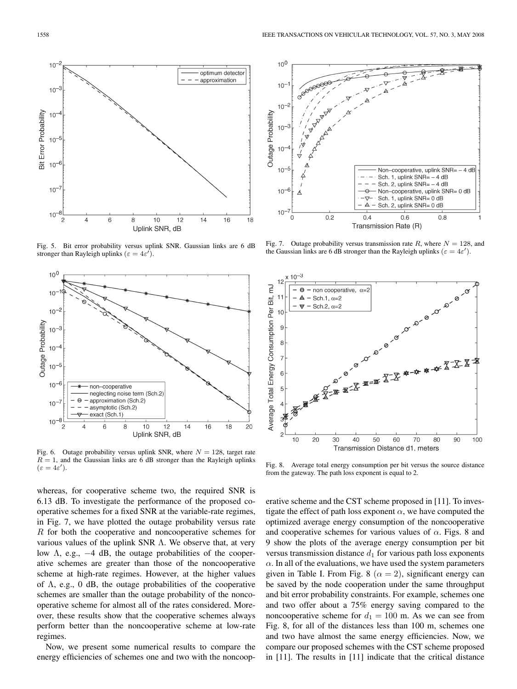

Fig. 5. Bit error probability versus uplink SNR. Gaussian links are 6 dB stronger than Rayleigh uplinks ( $\varepsilon = 4\varepsilon'$ ).



Fig. 6. Outage probability versus uplink SNR, where  $N = 128$ , target rate  $R = 1$ , and the Gaussian links are 6 dB stronger than the Rayleigh uplinks  $(\varepsilon=4\varepsilon').$ 

whereas, for cooperative scheme two, the required SNR is 6.13 dB. To investigate the performance of the proposed cooperative schemes for a fixed SNR at the variable-rate regimes, in Fig. 7, we have plotted the outage probability versus rate R for both the cooperative and noncooperative schemes for various values of the uplink SNR Λ. We observe that, at very low  $\Lambda$ , e.g.,  $-4$  dB, the outage probabilities of the cooperative schemes are greater than those of the noncooperative scheme at high-rate regimes. However, at the higher values of  $\Lambda$ , e.g., 0 dB, the outage probabilities of the cooperative schemes are smaller than the outage probability of the noncooperative scheme for almost all of the rates considered. Moreover, these results show that the cooperative schemes always perform better than the noncooperative scheme at low-rate regimes.

Now, we present some numerical results to compare the energy efficiencies of schemes one and two with the noncoop-



Fig. 7. Outage probability versus transmission rate R, where  $N = 128$ , and the Gaussian links are 6 dB stronger than the Rayleigh uplinks ( $\varepsilon = 4\varepsilon'$ ).



Fig. 8. Average total energy consumption per bit versus the source distance from the gateway. The path loss exponent is equal to 2.

erative scheme and the CST scheme proposed in [11]. To investigate the effect of path loss exponent  $\alpha$ , we have computed the optimized average energy consumption of the noncooperative and cooperative schemes for various values of  $\alpha$ . Figs. 8 and 9 show the plots of the average energy consumption per bit versus transmission distance  $d_1$  for various path loss exponents  $\alpha$ . In all of the evaluations, we have used the system parameters given in Table I. From Fig. 8 ( $\alpha = 2$ ), significant energy can be saved by the node cooperation under the same throughput and bit error probability constraints. For example, schemes one and two offer about a 75% energy saving compared to the noncooperative scheme for  $d_1 = 100$  m. As we can see from Fig. 8, for all of the distances less than 100 m, schemes one and two have almost the same energy efficiencies. Now, we compare our proposed schemes with the CST scheme proposed in [11]. The results in [11] indicate that the critical distance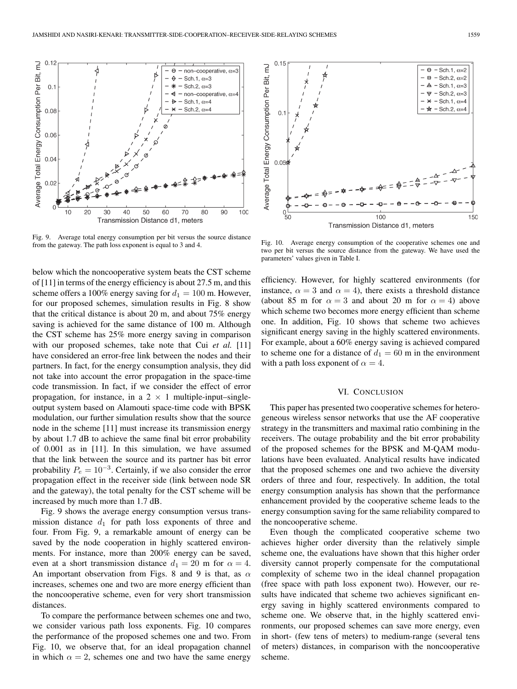

Fig. 9. Average total energy consumption per bit versus the source distance from the gateway. The path loss exponent is equal to 3 and 4.

below which the noncooperative system beats the CST scheme of [11] in terms of the energy efficiency is about 27.5 m, and this scheme offers a 100% energy saving for  $d_1 = 100$  m. However, for our proposed schemes, simulation results in Fig. 8 show that the critical distance is about 20 m, and about 75% energy saving is achieved for the same distance of 100 m. Although the CST scheme has 25% more energy saving in comparison with our proposed schemes, take note that Cui *et al.* [11] have considered an error-free link between the nodes and their partners. In fact, for the energy consumption analysis, they did not take into account the error propagation in the space-time code transmission. In fact, if we consider the effect of error propagation, for instance, in a  $2 \times 1$  multiple-input–singleoutput system based on Alamouti space-time code with BPSK modulation, our further simulation results show that the source node in the scheme [11] must increase its transmission energy by about 1.7 dB to achieve the same final bit error probability of 0.001 as in [11]. In this simulation, we have assumed that the link between the source and its partner has bit error probability  $P_e = 10^{-3}$ . Certainly, if we also consider the error propagation effect in the receiver side (link between node SR and the gateway), the total penalty for the CST scheme will be increased by much more than 1.7 dB.

Fig. 9 shows the average energy consumption versus transmission distance  $d_1$  for path loss exponents of three and four. From Fig. 9, a remarkable amount of energy can be saved by the node cooperation in highly scattered environments. For instance, more than 200% energy can be saved, even at a short transmission distance  $d_1 = 20$  m for  $\alpha = 4$ . An important observation from Figs. 8 and 9 is that, as  $\alpha$ increases, schemes one and two are more energy efficient than the noncooperative scheme, even for very short transmission distances.

To compare the performance between schemes one and two, we consider various path loss exponents. Fig. 10 compares the performance of the proposed schemes one and two. From Fig. 10, we observe that, for an ideal propagation channel in which  $\alpha = 2$ , schemes one and two have the same energy



Fig. 10. Average energy consumption of the cooperative schemes one and two per bit versus the source distance from the gateway. We have used the parameters' values given in Table I.

efficiency. However, for highly scattered environments (for instance,  $\alpha = 3$  and  $\alpha = 4$ ), there exists a threshold distance (about 85 m for  $\alpha = 3$  and about 20 m for  $\alpha = 4$ ) above which scheme two becomes more energy efficient than scheme one. In addition, Fig. 10 shows that scheme two achieves significant energy saving in the highly scattered environments. For example, about a 60% energy saving is achieved compared to scheme one for a distance of  $d_1 = 60$  m in the environment with a path loss exponent of  $\alpha = 4$ .

#### VI. CONCLUSION

This paper has presented two cooperative schemes for heterogeneous wireless sensor networks that use the AF cooperative strategy in the transmitters and maximal ratio combining in the receivers. The outage probability and the bit error probability of the proposed schemes for the BPSK and M-QAM modulations have been evaluated. Analytical results have indicated that the proposed schemes one and two achieve the diversity orders of three and four, respectively. In addition, the total energy consumption analysis has shown that the performance enhancement provided by the cooperative scheme leads to the energy consumption saving for the same reliability compared to the noncooperative scheme.

Even though the complicated cooperative scheme two achieves higher order diversity than the relatively simple scheme one, the evaluations have shown that this higher order diversity cannot properly compensate for the computational complexity of scheme two in the ideal channel propagation (free space with path loss exponent two). However, our results have indicated that scheme two achieves significant energy saving in highly scattered environments compared to scheme one. We observe that, in the highly scattered environments, our proposed schemes can save more energy, even in short- (few tens of meters) to medium-range (several tens of meters) distances, in comparison with the noncooperative scheme.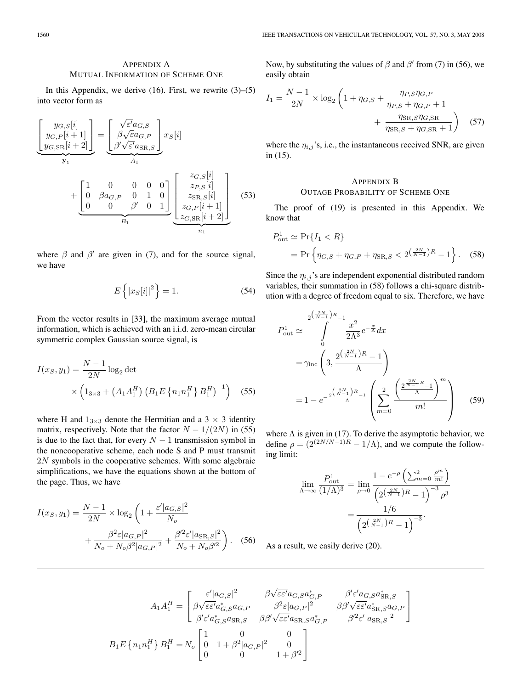# APPENDIX A MUTUAL INFORMATION OF SCHEME ONE

In this Appendix, we derive  $(16)$ . First, we rewrite  $(3)$ – $(5)$ into vector form as

$$
\underbrace{\begin{bmatrix} y_{G,S}[i] \\ y_{G,P}[i+1] \\ y_{G,SR}[i+2] \end{bmatrix}}_{\mathbf{y}_1} = \underbrace{\begin{bmatrix} \sqrt{\varepsilon'} a_{G,S} \\ \beta \sqrt{\varepsilon} a_{G,P} \\ \beta' \sqrt{\varepsilon'} a_{SR,S} \end{bmatrix}}_{A_1} x_S[i]
$$
\n
$$
+ \underbrace{\begin{bmatrix} 1 & 0 & 0 & 0 & 0 \\ 0 & \beta a_{G,P} & 0 & 1 & 0 \\ 0 & 0 & \beta' & 0 & 1 \end{bmatrix}}_{B_1} \underbrace{\begin{bmatrix} z_{G,S}[i] \\ z_{P,S}[i] \\ z_{SR,S}[i] \\ z_{G,P}[i+1] \\ z_{G,SR}[i+2] \end{bmatrix}}_{n_1} \tag{53}
$$

where  $\beta$  and  $\beta'$  are given in (7), and for the source signal, we have

$$
E\left\{|x_{S}[i]|^{2}\right\} = 1.
$$
\n(54)

From the vector results in [33], the maximum average mutual information, which is achieved with an i.i.d. zero-mean circular symmetric complex Gaussian source signal, is

$$
I(x_S, y_1) = \frac{N - 1}{2N} \log_2 \det \times \left( 1_{3 \times 3} + \left( A_1 A_1^H \right) \left( B_1 E \left\{ n_1 n_1^H \right\} B_1^H \right)^{-1} \right) \quad (55)
$$

where H and  $1_{3\times 3}$  denote the Hermitian and a 3  $\times$  3 identity matrix, respectively. Note that the factor  $N - 1/(2N)$  in (55) is due to the fact that, for every  $N - 1$  transmission symbol in the noncooperative scheme, each node S and P must transmit 2N symbols in the cooperative schemes. With some algebraic simplifications, we have the equations shown at the bottom of the page. Thus, we have

$$
I(x_S, y_1) = \frac{N - 1}{2N} \times \log_2 \left( 1 + \frac{\varepsilon' |a_{G,S}|^2}{N_o} + \frac{\beta^2 \varepsilon |a_{G,P}|^2}{N_o + N_o \beta^2 |a_{G,P}|^2} + \frac{\beta^2 \varepsilon' |a_{SR,S}|^2}{N_o + N_o \beta^2} \right). \tag{56}
$$

Now, by substituting the values of  $\beta$  and  $\beta'$  from (7) in (56), we easily obtain

$$
I_1 = \frac{N-1}{2N} \times \log_2 \left( 1 + \eta_{G,S} + \frac{\eta_{P,S}\eta_{G,P}}{\eta_{P,S} + \eta_{G,P} + 1} + \frac{\eta_{\text{SR},S}\eta_{G,\text{SR}}}{\eta_{\text{SR},S} + \eta_{G,\text{SR}} + 1} \right) \quad (57)
$$

where the  $\eta_{i,j}$ 's, i.e., the instantaneous received SNR, are given in (15).

# APPENDIX B OUTAGE PROBABILITY OF SCHEME ONE

The proof of (19) is presented in this Appendix. We know that

$$
P_{\text{out}}^1 \simeq \Pr\{I_1 < R\}
$$
\n
$$
= \Pr\left\{\eta_{G,S} + \eta_{G,P} + \eta_{\text{SR},S} < 2^{\left(\frac{2N}{N-1}\right)R} - 1\right\}.\tag{58}
$$

Since the  $\eta_{i,j}$ 's are independent exponential distributed random variables, their summation in (58) follows a chi-square distribution with a degree of freedom equal to six. Therefore, we have

$$
P_{\text{out}}^{1} \simeq \int_{0}^{2\left(\frac{2N}{N-1}\right)R} \frac{x^{2}}{2\Lambda^{3}} e^{-\frac{x}{\Lambda}} dx
$$
  
=  $\gamma_{\text{inc}} \left( 3, \frac{2^{\left(\frac{2N}{N-1}\right)R} - 1}{\Lambda} \right)$   
=  $1 - e^{-\frac{2^{\left(\frac{2N}{N-1}\right)R} - 1}{\Lambda}} \left( \sum_{m=0}^{2} \frac{\left( \frac{2^{\frac{2N}{N-1}R} - 1}{\Lambda} \right)^{m}}{m!} \right)$  (59)

where  $\Lambda$  is given in (17). To derive the asymptotic behavior, we define  $\rho = (2^{(2N/N-1)R} - 1/\Lambda)$ , and we compute the following limit:

 $\mathcal{L}$ 

$$
\lim_{\Lambda \to \infty} \frac{P_{\text{out}}^1}{(1/\Lambda)^3} = \lim_{\rho \to 0} \frac{1 - e^{-\rho} \left( \sum_{m=0}^2 \frac{\rho^m}{m!} \right)}{\left( 2^{\left( \frac{2N}{N-1} \right)R} - 1 \right)^{-3} \rho^3} = \frac{1/6}{\left( 2^{\left( \frac{2N}{N-1} \right)R} - 1 \right)^{-3}}.
$$

As a result, we easily derive (20).

$$
A_1 A_1^H = \begin{bmatrix} \varepsilon' |a_{G,S}|^2 & \beta \sqrt{\varepsilon \varepsilon'} a_{G,S} a_{G,P}^* & \beta' \varepsilon' a_{G,S} a_{\text{SR},S}^* \\ \beta \sqrt{\varepsilon \varepsilon'} a_{G,S}^* a_{G,P} & \beta^2 \varepsilon |a_{G,P}|^2 & \beta \beta' \sqrt{\varepsilon \varepsilon'} a_{\text{SR},S}^* a_{G,P} \\ \beta' \varepsilon' a_{G,S}^* a_{\text{SR},S} & \beta \beta' \sqrt{\varepsilon \varepsilon'} a_{\text{SR},S} a_{G,P}^* & \beta'^2 \varepsilon' |a_{\text{SR},S}|^2 \end{bmatrix}
$$
\n
$$
B_1 E \left\{ n_1 n_1^H \right\} B_1^H = N_o \begin{bmatrix} 1 & 0 & 0 \\ 0 & 1 + \beta^2 |a_{G,P}|^2 & 0 \\ 0 & 0 & 1 + \beta'^2 \end{bmatrix}
$$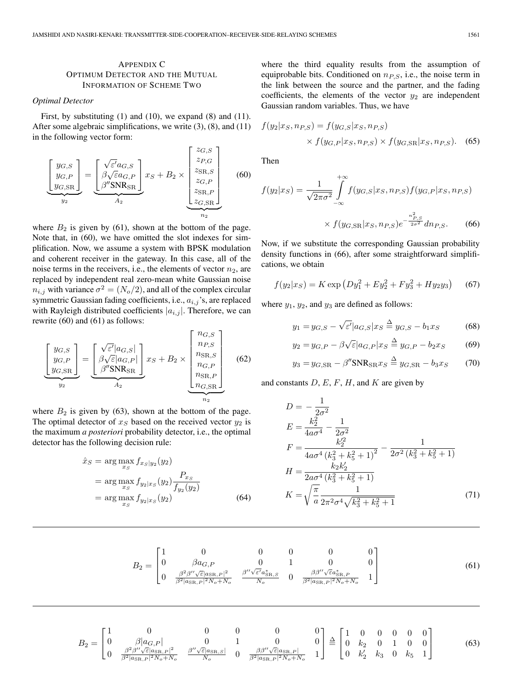# APPENDIX C OPTIMUM DETECTOR AND THE MUTUAL INFORMATION OF SCHEME TWO

## *Optimal Detector*

First, by substituting (1) and (10), we expand (8) and (11). After some algebraic simplifications, we write (3), (8), and (11) in the following vector form:

$$
\left[\begin{array}{c}y_{G,S} \\ y_{G,P} \\ y_{G,SR}\end{array}\right] = \underbrace{\left[\begin{array}{c} \sqrt{\varepsilon'}a_{G,S} \\ \beta\sqrt{\varepsilon}a_{G,P} \\ \beta''\text{SNR}_{SR}\end{array}\right]}_{A_2} x_S + B_2 \times \underbrace{\left[\begin{array}{c}z_{G,S} \\ z_{P,G} \\ z_{SR,S} \\ z_{G,P} \\ z_{S_{R,P}} \\ z_{G,SR}\end{array}\right]}_{n_2}
$$
 (60)

where  $B_2$  is given by (61), shown at the bottom of the page. Note that, in (60), we have omitted the slot indexes for simplification. Now, we assume a system with BPSK modulation and coherent receiver in the gateway. In this case, all of the noise terms in the receivers, i.e., the elements of vector  $n_2$ , are replaced by independent real zero-mean white Gaussian noise  $n_{i,j}$  with variance  $\sigma^2 = (N_o/2)$ , and all of the complex circular symmetric Gaussian fading coefficients, i.e.,  $a_{i,j}$ 's, are replaced with Rayleigh distributed coefficients  $|a_{i,j}|$ . Therefore, we can rewrite (60) and (61) as follows:

$$
\underbrace{\begin{bmatrix} y_{G,S} \\ y_{G,P} \\ y_{G,SR} \end{bmatrix}}_{y_2} = \underbrace{\begin{bmatrix} \sqrt{\varepsilon'} | a_{G,S} | \\ \beta \sqrt{\varepsilon} | a_{G,P} | \\ \beta'' \text{SNR}_{SR} \end{bmatrix}}_{A_2} x_S + B_2 \times \underbrace{\begin{bmatrix} n_{G,S} \\ n_{P,S} \\ n_{SR,S} \\ n_{G,P} \\ n_{G,SR} \\ n_{G,SR} \end{bmatrix}}_{n_2}
$$
 (62)

where  $B_2$  is given by (63), shown at the bottom of the page. The optimal detector of  $x<sub>S</sub>$  based on the received vector  $y<sub>2</sub>$  is the maximum *a posteriori* probability detector, i.e., the optimal detector has the following decision rule:

$$
\hat{x}_S = \arg\max_{x_S} f_{x_S|y_2}(y_2)
$$
\n
$$
= \arg\max_{x_S} f_{y_2|x_S}(y_2) \frac{P_{x_S}}{f_{y_2}(y_2)}
$$
\n
$$
= \arg\max_{x_S} f_{y_2|x_S}(y_2)
$$
\n(64)

where the third equality results from the assumption of equiprobable bits. Conditioned on  $n_{PS}$ , i.e., the noise term in the link between the source and the partner, and the fading coefficients, the elements of the vector  $y_2$  are independent Gaussian random variables. Thus, we have

$$
f(y_2|x_S, n_{P,S}) = f(y_{G,S}|x_S, n_{P,S})
$$
  
×  $f(y_{G,P}|x_S, n_{P,S}) \times f(y_{G,SR}|x_S, n_{P,S}).$  (65)

Then

$$
f(y_2|x_S) = \frac{1}{\sqrt{2\pi\sigma^2}} \int_{-\infty}^{+\infty} f(y_{G,S}|x_S, n_{P,S}) f(y_{G,P}|x_S, n_{P,S})
$$

$$
\times f(y_{G,SR}|x_S, n_{P,S}) e^{-\frac{n_{P,S}^2}{2\sigma^2}} d n_{P,S}.
$$
(66)

Now, if we substitute the corresponding Gaussian probability density functions in (66), after some straightforward simplifications, we obtain

$$
f(y_2|x_S) = K \exp(Dy_1^2 + Ey_2^2 + Fy_3^2 + Hy_2y_3)
$$
 (67)

where  $y_1$ ,  $y_2$ , and  $y_3$  are defined as follows:

$$
y_1 = y_{G,S} - \sqrt{\varepsilon'} |a_{G,S}| x_S \stackrel{\Delta}{=} y_{G,S} - b_1 x_S \tag{68}
$$

$$
y_2 = y_{G,P} - \beta \sqrt{\varepsilon} |a_{G,P}| x_S \stackrel{\Delta}{=} y_{G,P} - b_2 x_S \tag{69}
$$

$$
y_3 = y_{G,SR} - \beta'' \text{SNR}_{SR} x_S \stackrel{\Delta}{=} y_{G,SR} - b_3 x_S \tag{70}
$$

and constants  $D, E, F, H$ , and  $K$  are given by

$$
D = -\frac{1}{2\sigma^2}
$$
  
\n
$$
E = \frac{k_2^2}{4a\sigma^4} - \frac{1}{2\sigma^2}
$$
  
\n
$$
F = \frac{k_2'^2}{4a\sigma^4 (k_3^2 + k_5^2 + 1)^2} - \frac{1}{2\sigma^2 (k_3^2 + k_5^2 + 1)}
$$
  
\n
$$
H = \frac{k_2 k_2'}{2a\sigma^4 (k_3^2 + k_5^2 + 1)}
$$
  
\n
$$
K = \sqrt{\frac{\pi}{a}} \frac{1}{2\pi^2 \sigma^4 \sqrt{k_3^2 + k_5^2 + 1}}
$$
(71)

$$
B_2 = \begin{bmatrix} 1 & 0 & 0 & 0 & 0 & 0 \\ 0 & \beta a_{G,P} & 0 & 1 & 0 & 0 \\ 0 & \frac{\beta^2 \beta'' \sqrt{\varepsilon} |a_{\text{SR},P}|^2}{\beta^2 |a_{\text{SR},P}|^2 N_o + N_o} & \frac{\beta'' \sqrt{\varepsilon'} a_{\text{SR},S}^*}{N_o} & 0 & \frac{\beta \beta'' \sqrt{\varepsilon} a_{\text{SR},P}^*}{\beta^2 |a_{\text{SR},P}|^2 N_o + N_o} & 1 \end{bmatrix}
$$
(61)

$$
B_2 = \begin{bmatrix} 1 & 0 & 0 & 0 & 0 & 0 \ 0 & \beta |a_{G,P}| & 0 & 1 & 0 & 0 \ 0 & \frac{\beta^2 \beta'' \sqrt{\varepsilon} |a_{\text{SR},P}|^2}{\beta^2 |a_{\text{SR},P}|^2 N_o + N_o} & \frac{\beta'' \sqrt{\varepsilon} |a_{\text{SR},S}|}{N_o} & 0 & \frac{\beta \beta'' \sqrt{\varepsilon} |a_{\text{SR},P}|}{\beta^2 |a_{\text{SR},P}|^2 N_o + N_o} & 1 \end{bmatrix} \stackrel{\Delta}{=} \begin{bmatrix} 1 & 0 & 0 & 0 & 0 & 0 \ 0 & k_2 & 0 & 1 & 0 & 0 \ 0 & k_2' & k_3 & 0 & k_5 & 1 \end{bmatrix}
$$
(63)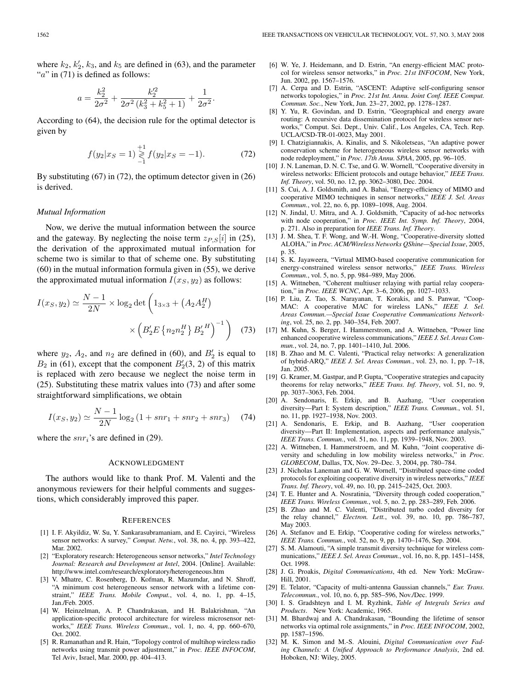where  $k_2$ ,  $k'_2$ ,  $k_3$ , and  $k_5$  are defined in (63), and the parameter " $a$ " in (71) is defined as follows:

$$
a = \frac{k_2^2}{2\sigma^2} + \frac{k_2'^2}{2\sigma^2 (k_3^2 + k_5^2 + 1)} + \frac{1}{2\sigma^2}.
$$

According to (64), the decision rule for the optimal detector is given by

$$
f(y_2|x_S=1) \mathop{\gtrless}\limits_{-1}^{+1} f(y_2|x_S=-1). \tag{72}
$$

By substituting (67) in (72), the optimum detector given in (26) is derived.

#### *Mutual Information*

Now, we derive the mutual information between the source and the gateway. By neglecting the noise term  $z_{P,S}[i]$  in (25), the derivation of the approximated mutual information for scheme two is similar to that of scheme one. By substituting (60) in the mutual information formula given in (55), we derive the approximated mutual information  $I(x_S, y_2)$  as follows:

$$
I(x_S, y_2) \simeq \frac{N - 1}{2N} \times \log_2 \det \left( 1_{3 \times 3} + \left( A_2 A_2^H \right) \right) \times \left( B_2' E \left\{ n_2 n_2^H \right\} B_2'^H \right)^{-1} \right) \tag{73}
$$

where  $y_2$ ,  $A_2$ , and  $n_2$  are defined in (60), and  $B'_2$  is equal to  $B_2$  in (61), except that the component  $B'_2(3, 2)$  of this matrix is replaced with zero because we neglect the noise term in (25). Substituting these matrix values into (73) and after some straightforward simplifications, we obtain

$$
I(x_S, y_2) \simeq \frac{N-1}{2N} \log_2 \left( 1 + snr_1 + snr_2 + snr_3 \right) \tag{74}
$$

where the  $snr_i$ 's are defined in (29).

#### ACKNOWLEDGMENT

The authors would like to thank Prof. M. Valenti and the anonymous reviewers for their helpful comments and suggestions, which considerably improved this paper.

#### **REFERENCES**

- [1] I. F. Akyildiz, W. Su, Y. Sankarasubramaniam, and E. Cayirci, "Wireless sensor networks: A survey," *Comput. Netw.*, vol. 38, no. 4, pp. 393–422, Mar. 2002.
- [2] "Exploratory research: Heterogeneous sensor networks," *Intel Technology Journal: Research and Development at Intel*, 2004. [Online]. Available: http://www.intel.com/research/exploratory/heterogeneous.htm
- [3] V. Mhatre, C. Rosenberg, D. Kofman, R. Mazumdar, and N. Shroff, "A minimum cost heterogeneous sensor network with a lifetime constraint," *IEEE Trans. Mobile Comput.*, vol. 4, no. 1, pp. 4–15, Jan./Feb. 2005.
- [4] W. Heinzelman, A. P. Chandrakasan, and H. Balakrishnan, "An application-specific protocol architecture for wireless microsensor networks," *IEEE Trans. Wireless Commun.*, vol. 1, no. 4, pp. 660–670, Oct. 2002.
- [5] R. Ramanathan and R. Hain, "Topology control of multihop wireless radio networks using transmit power adjustment," in *Proc. IEEE INFOCOM*, Tel Aviv, Israel, Mar. 2000, pp. 404–413.
- [6] W. Ye, J. Heidemann, and D. Estrin, "An energy-efficient MAC protocol for wireless sensor networks," in *Proc. 21st INFOCOM*, New York, Jun. 2002, pp. 1567–1576.
- [7] A. Cerpa and D. Estrin, "ASCENT: Adaptive self-configuring sensor networks topologies," in *Proc. 21st Int. Annu. Joint Conf. IEEE Comput. Commun. Soc.*, New York, Jun. 23–27, 2002, pp. 1278–1287.
- [8] Y. Yu, R. Govindan, and D. Estrin, "Geographical and energy aware routing: A recursive data dissemination protocol for wireless sensor networks," Comput. Sci. Dept., Univ. Calif., Los Angeles, CA, Tech. Rep. UCLA/CSD-TR-01-0023, May 2001.
- [9] I. Chatzigiannakis, A. Kinalis, and S. Nikoletseas, "An adaptive power conservation scheme for heterogeneous wireless sensor networks with node redeployment," in *Proc. 17th Annu. SPAA*, 2005, pp. 96–105.
- [10] J. N. Laneman, D. N. C. Tse, and G. W. Wornell, "Cooperative diversity in wireless networks: Efficient protocols and outage behavior," *IEEE Trans. Inf. Theory*, vol. 50, no. 12, pp. 3062–3080, Dec. 2004.
- [11] S. Cui, A. J. Goldsmith, and A. Bahai, "Energy-efficiency of MIMO and cooperative MIMO techniques in sensor networks," *IEEE J. Sel. Areas Commun.*, vol. 22, no. 6, pp. 1089–1098, Aug. 2004.
- [12] N. Jindal, U. Mitra, and A. J. Goldsmith, "Capacity of ad-hoc networks with node cooperation," in *Proc. IEEE Int. Symp. Inf. Theory*, 2004, p. 271. Also in preparation for *IEEE Trans. Inf. Theory*.
- [13] J. M. Shea, T. F. Wong, and W.-H. Wong, "Cooperative-diversity slotted ALOHA," in *Proc. ACM/Wireless Networks QShine—Special Issue*, 2005, p. 35.
- [14] S. K. Jayaweera, "Virtual MIMO-based cooperative communication for energy-constrained wireless sensor networks," *IEEE Trans. Wireless Commun.*, vol. 5, no. 5, pp. 984–989, May 2006.
- [15] A. Wittneben, "Coherent multiuser relaying with partial relay cooperation," in *Proc. IEEE WCNC*, Apr. 3–6, 2006, pp. 1027–1033.
- [16] P. Liu, Z. Tao, S. Narayanan, T. Korakis, and S. Panwar, "Coop-MAC: A cooperative MAC for wireless LANs," *IEEE J. Sel. Areas Commun.—Special Issue Cooperative Communications Networking*, vol. 25, no. 2, pp. 340–354, Feb. 2007.
- [17] M. Kuhn, S. Berger, I. Hammerstrom, and A. Wittneben, "Power line enhanced cooperative wireless communications," *IEEE J. Sel. Areas Commun.*, vol. 24, no. 7, pp. 1401–1410, Jul. 2006.
- [18] B. Zhao and M. C. Valenti, "Practical relay networks: A generalization of hybrid-ARQ," *IEEE J. Sel. Areas Commun.*, vol. 23, no. 1, pp. 7–18, Jan. 2005.
- [19] G. Kramer, M. Gastpar, and P. Gupta, "Cooperative strategies and capacity theorems for relay networks," *IEEE Trans. Inf. Theory*, vol. 51, no. 9, pp. 3037–3063, Feb. 2004.
- [20] A. Sendonaris, E. Erkip, and B. Aazhang, "User cooperation diversity—Part I: System description," *IEEE Trans. Commun.*, vol. 51, no. 11, pp. 1927–1938, Nov. 2003.
- [21] A. Sendonaris, E. Erkip, and B. Aazhang, "User cooperation diversity—Part II: Implementation, aspects and performance analysis," *IEEE Trans. Commun.*, vol. 51, no. 11, pp. 1939–1948, Nov. 2003.
- [22] A. Wittneben, I. Hammerstroem, and M. Kuhn, "Joint cooperative diversity and scheduling in low mobility wireless networks," in *Proc. GLOBECOM*, Dallas, TX, Nov. 29–Dec. 3, 2004, pp. 780–784.
- [23] J. Nicholas Laneman and G. W. Wornell, "Distributed space-time coded protocols for exploiting cooperative diversity in wireless networks," *IEEE Trans. Inf. Theory*, vol. 49, no. 10, pp. 2415–2425, Oct. 2003.
- [24] T. E. Hunter and A. Nosratinia, "Diversity through coded cooperation," *IEEE Trans. Wireless Commun.*, vol. 5, no. 2, pp. 283–289, Feb. 2006.
- [25] B. Zhao and M. C. Valenti, "Distributed turbo coded diversity for the relay channel," *Electron. Lett.*, vol. 39, no. 10, pp. 786–787, May 2003.
- [26] A. Stefanov and E. Erkip, "Cooperative coding for wireless networks," *IEEE Trans. Commun.*, vol. 52, no. 9, pp. 1470–1476, Sep. 2004.
- [27] S. M. Alamouti, "A simple transmit diversity technique for wireless communications," *IEEE J. Sel. Areas Commun.*, vol. 16, no. 8, pp. 1451–1458, Oct. 1998.
- [28] J. G. Proakis, *Digital Communications*, 4th ed. New York: McGraw-Hill, 2001.
- [29] E. Telator, "Capacity of multi-antenna Gaussian channels," *Eur. Trans. Telecommun.*, vol. 10, no. 6, pp. 585–596, Nov./Dec. 1999.
- [30] I. S. Gradshteyn and I. M. Ryzhink, *Table of Integrals Series and Products*. New York: Academic, 1965.
- [31] M. Bhardwaj and A. Chandrakasan, "Bounding the lifetime of sensor networks via optimal role assignments," in *Proc. IEEE INFOCOM*, 2002, pp. 1587–1596.
- [32] M. K. Simon and M.-S. Alouini, *Digital Communication over Fading Channels: A Unified Approach to Performance Analysis*, 2nd ed. Hoboken, NJ: Wiley, 2005.